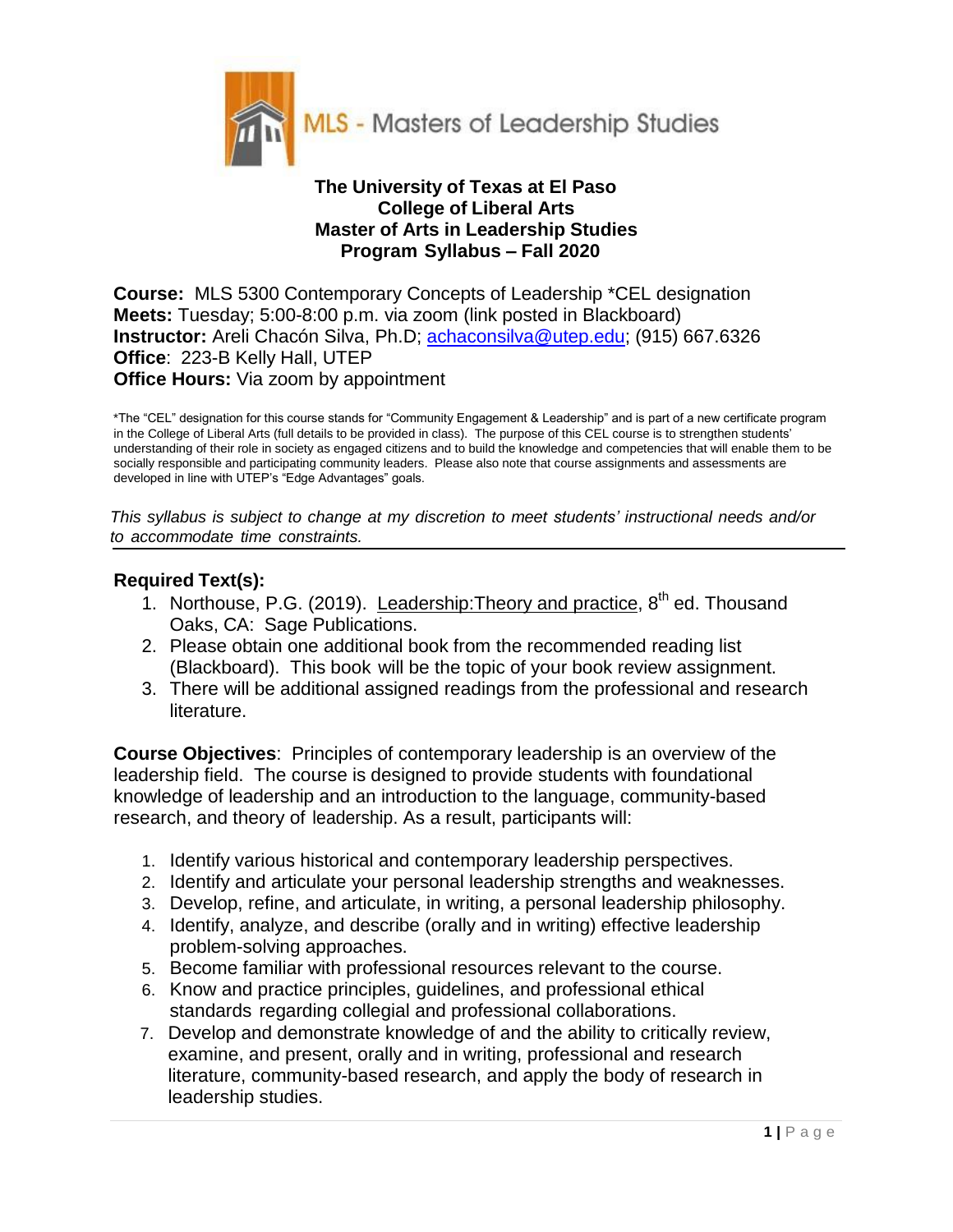

#### **The University of Texas at El Paso College of Liberal Arts Master of Arts in Leadership Studies Program Syllabus – Fall 2020**

**Course:** MLS 5300 Contemporary Concepts of Leadership \*CEL designation **Meets:** Tuesday; 5:00-8:00 p.m. via zoom (link posted in Blackboard) **Instructor:** Areli Chacón Silva, Ph.D; achaconsilva@utep.edu; (915) 667.6326 **Office**: 223-B Kelly Hall, UTEP **Office Hours:** Via zoom by appointment

\*The "CEL" designation for this course stands for "Community Engagement & Leadership" and is part of a new certificate program in the College of Liberal Arts (full details to be provided in class). The purpose of this CEL course is to strengthen students' understanding of their role in society as engaged citizens and to build the knowledge and competencies that will enable them to be socially responsible and participating community leaders. Please also note that course assignments and assessments are developed in line with UTEP's "Edge Advantages" goals.

*This syllabus is subject to change at my discretion to meet students' instructional needs and/or to accommodate time constraints.*

## **Required Text(s):**

- 1. Northouse, P.G. (2019). Leadership: Theory and practice, 8<sup>th</sup> ed. Thousand Oaks, CA: Sage Publications.
- 2. Please obtain one additional book from the recommended reading list (Blackboard). This book will be the topic of your book review assignment.
- 3. There will be additional assigned readings from the professional and research literature.

**Course Objectives**: Principles of contemporary leadership is an overview of the leadership field. The course is designed to provide students with foundational knowledge of leadership and an introduction to the language, community-based research, and theory of leadership. As a result, participants will:

- 1. Identify various historical and contemporary leadership perspectives.
- 2. Identify and articulate your personal leadership strengths and weaknesses.
- 3. Develop, refine, and articulate, in writing, a personal leadership philosophy.
- 4. Identify, analyze, and describe (orally and in writing) effective leadership problem-solving approaches.
- 5. Become familiar with professional resources relevant to the course.
- 6. Know and practice principles, guidelines, and professional ethical standards regarding collegial and professional collaborations.
- 7. Develop and demonstrate knowledge of and the ability to critically review, examine, and present, orally and in writing, professional and research literature, community-based research, and apply the body of research in leadership studies.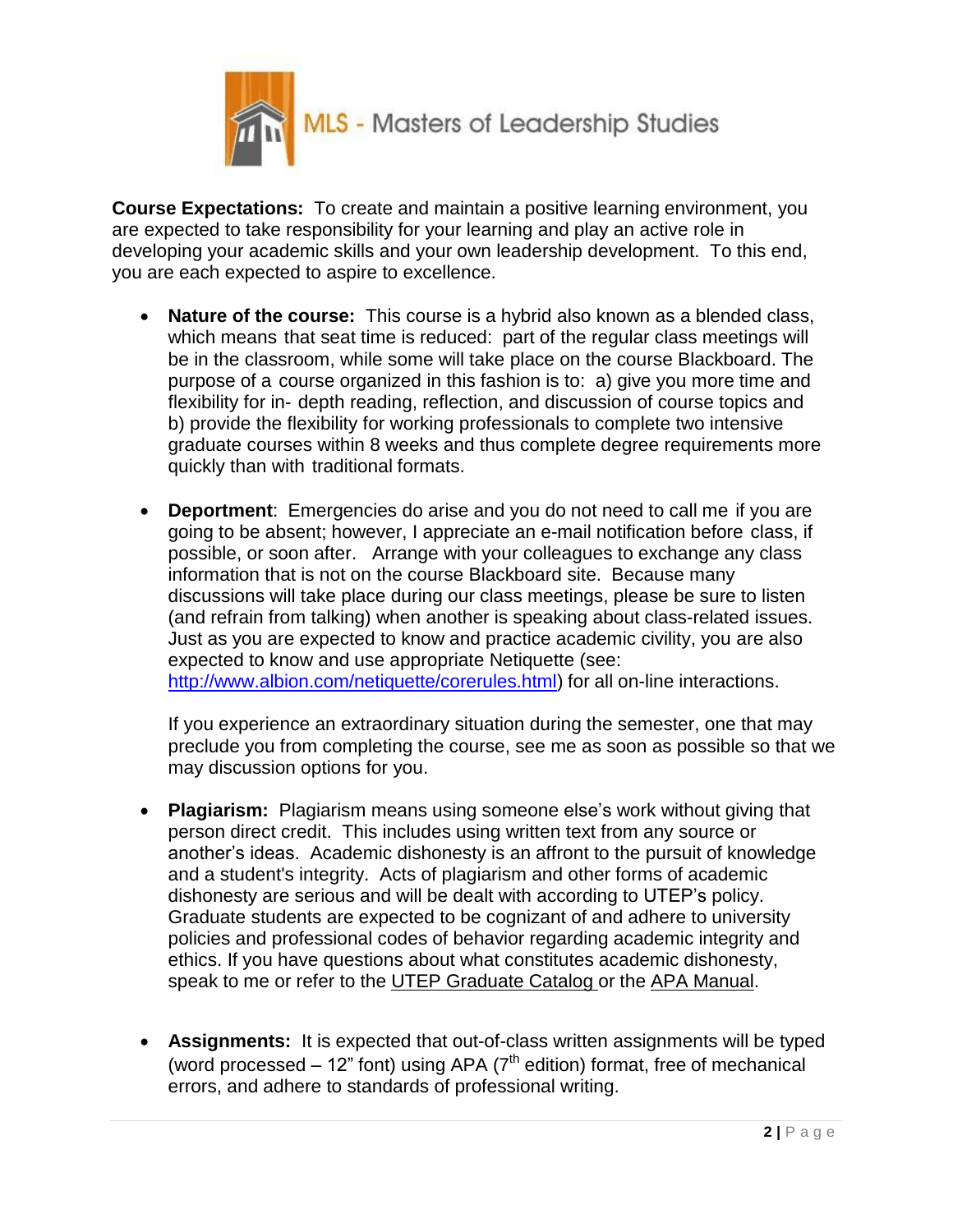

**Course Expectations:** To create and maintain a positive learning environment, you are expected to take responsibility for your learning and play an active role in developing your academic skills and your own leadership development. To this end, you are each expected to aspire to excellence.

- **Nature of the course:** This course is a hybrid also known as a blended class, which means that seat time is reduced: part of the regular class meetings will be in the classroom, while some will take place on the course Blackboard. The purpose of a course organized in this fashion is to: a) give you more time and flexibility for in- depth reading, reflection, and discussion of course topics and b) provide the flexibility for working professionals to complete two intensive graduate courses within 8 weeks and thus complete degree requirements more quickly than with traditional formats.
- **Deportment**: Emergencies do arise and you do not need to call me if you are going to be absent; however, I appreciate an e-mail notification before class, if possible, or soon after. Arrange with your colleagues to exchange any class information that is not on the course Blackboard site. Because many discussions will take place during our class meetings, please be sure to listen (and refrain from talking) when another is speaking about class-related issues. Just as you are expected to know and practice academic civility, you are also expected to know and use appropriate Netiquette (see: [http://www.albion.com/netiquette/corerules.html\)](http://www.albion.com/netiquette/corerules.html)) for all on-line interactions.

If you experience an extraordinary situation during the semester, one that may preclude you from completing the course, see me as soon as possible so that we may discussion options for you.

- **Plagiarism:** Plagiarism means using someone else's work without giving that person direct credit. This includes using written text from any source or another's ideas. Academic dishonesty is an affront to the pursuit of knowledge and a student's integrity. Acts of plagiarism and other forms of academic dishonesty are serious and will be dealt with according to UTEP's policy. Graduate students are expected to be cognizant of and adhere to university policies and professional codes of behavior regarding academic integrity and ethics. If you have questions about what constitutes academic dishonesty, speak to me or refer to the UTEP Graduate Catalog or the APA Manual.
- **Assignments:** It is expected that out-of-class written assignments will be typed (word processed  $-12$ " font) using APA ( $7<sup>th</sup>$  edition) format, free of mechanical errors, and adhere to standards of professional writing.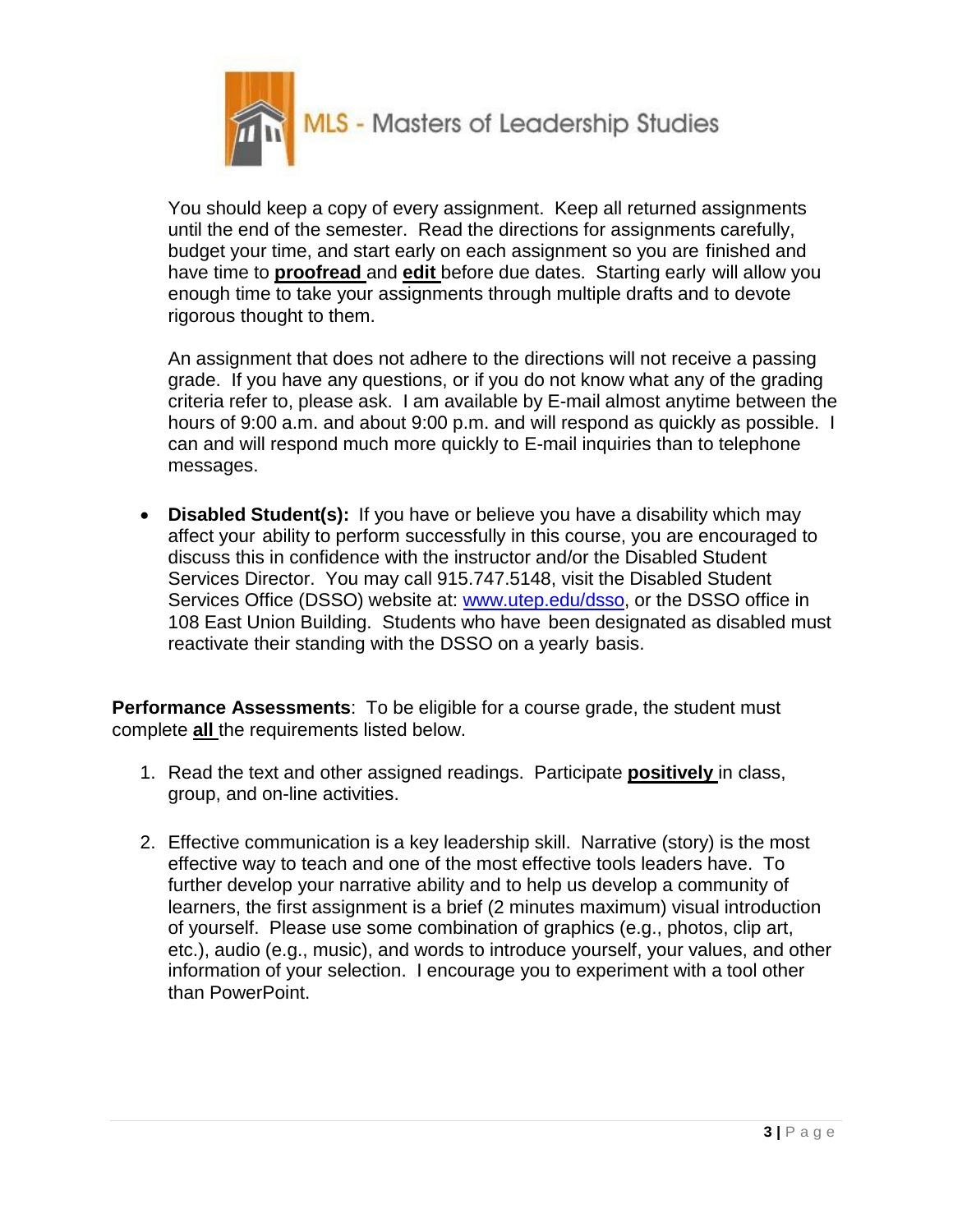

You should keep a copy of every assignment. Keep all returned assignments until the end of the semester. Read the directions for assignments carefully, budget your time, and start early on each assignment so you are finished and have time to **proofread** and **edit** before due dates. Starting early will allow you enough time to take your assignments through multiple drafts and to devote rigorous thought to them.

An assignment that does not adhere to the directions will not receive a passing grade. If you have any questions, or if you do not know what any of the grading criteria refer to, please ask. I am available by E-mail almost anytime between the hours of 9:00 a.m. and about 9:00 p.m. and will respond as quickly as possible. I can and will respond much more quickly to E-mail inquiries than to telephone messages.

 **Disabled Student(s):** If you have or believe you have a disability which may affect your ability to perform successfully in this course, you are encouraged to discuss this in confidence with the instructor and/or the Disabled Student Services Director. You may call 915.747.5148, visit the Disabled Student Services Office (DSSO) website at: [www.utep.edu/dsso,](http://www.utep.edu/dsso) or the DSSO office in 108 East Union Building. Students who have been designated as disabled must reactivate their standing with the DSSO on a yearly basis.

**Performance Assessments**: To be eligible for a course grade, the student must complete **all** the requirements listed below.

- 1. Read the text and other assigned readings. Participate **positively** in class, group, and on-line activities.
- 2. Effective communication is a key leadership skill. Narrative (story) is the most effective way to teach and one of the most effective tools leaders have. To further develop your narrative ability and to help us develop a community of learners, the first assignment is a brief (2 minutes maximum) visual introduction of yourself. Please use some combination of graphics (e.g., photos, clip art, etc.), audio (e.g., music), and words to introduce yourself, your values, and other information of your selection. I encourage you to experiment with a tool other than PowerPoint.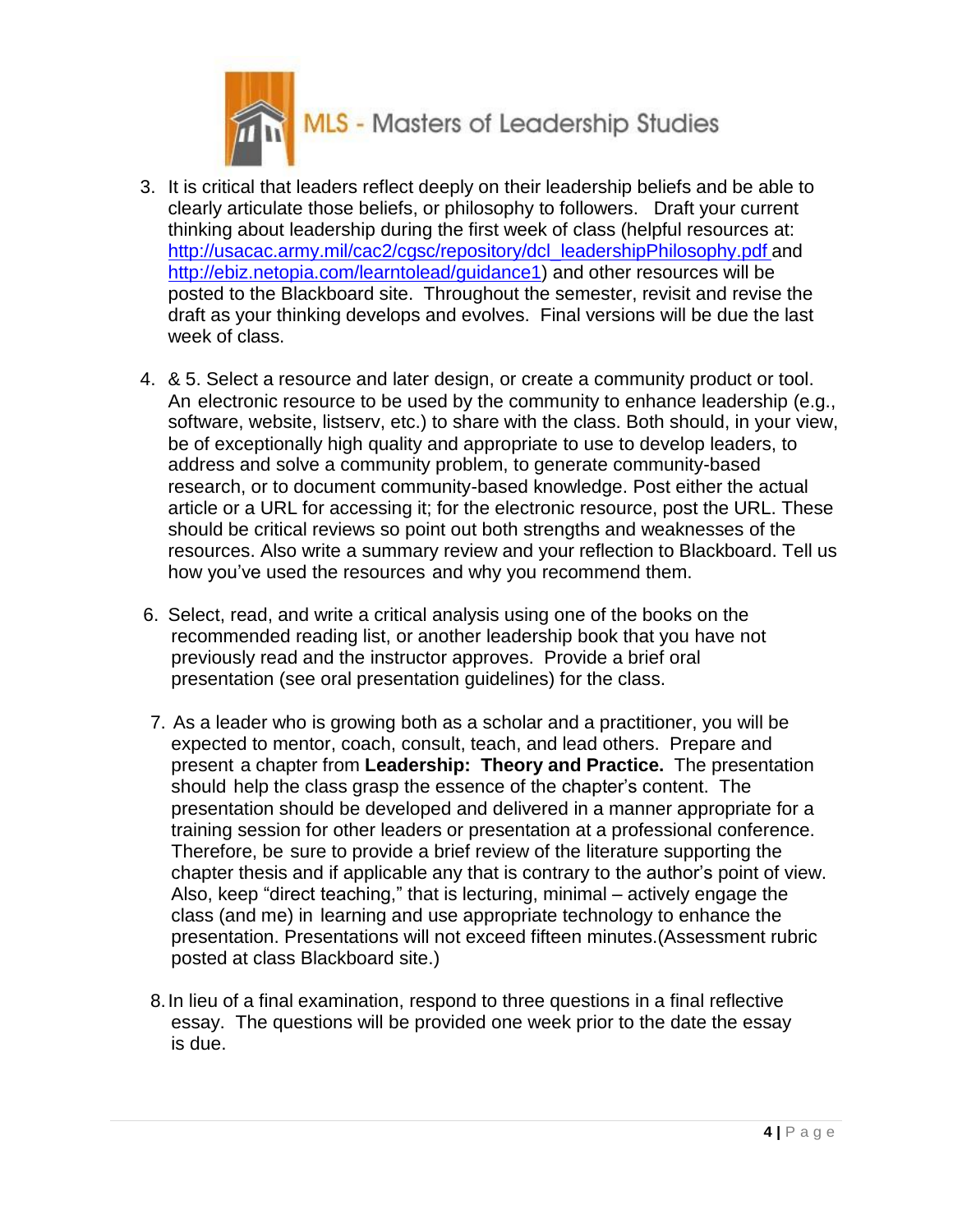

- 3. It is critical that leaders reflect deeply on their leadership beliefs and be able to clearly articulate those beliefs, or philosophy to followers. Draft your current thinking about leadership during the first week of class (helpful resources at: [http://usacac.army.mil/cac2/cgsc/repository/dcl\\_leadershipPhilosophy.pdf](http://usacac.army.mil/cac2/cgsc/repository/dcl_leadershipPhilosophy.pdf) and [http://ebiz.netopia.com/learntolead/guidance1\)](http://ebiz.netopia.com/learntolead/guidance1)) and other resources will be posted to the Blackboard site. Throughout the semester, revisit and revise the draft as your thinking develops and evolves. Final versions will be due the last week of class.
- 4. & 5. Select a resource and later design, or create a community product or tool. An electronic resource to be used by the community to enhance leadership (e.g., software, website, listserv, etc.) to share with the class. Both should, in your view, be of exceptionally high quality and appropriate to use to develop leaders, to address and solve a community problem, to generate community-based research, or to document community-based knowledge. Post either the actual article or a URL for accessing it; for the electronic resource, post the URL. These should be critical reviews so point out both strengths and weaknesses of the resources. Also write a summary review and your reflection to Blackboard. Tell us how you've used the resources and why you recommend them.
- 6. Select, read, and write a critical analysis using one of the books on the recommended reading list, or another leadership book that you have not previously read and the instructor approves. Provide a brief oral presentation (see oral presentation guidelines) for the class.
- 7. As a leader who is growing both as a scholar and a practitioner, you will be expected to mentor, coach, consult, teach, and lead others. Prepare and present a chapter from **Leadership: Theory and Practice.** The presentation should help the class grasp the essence of the chapter's content. The presentation should be developed and delivered in a manner appropriate for a training session for other leaders or presentation at a professional conference. Therefore, be sure to provide a brief review of the literature supporting the chapter thesis and if applicable any that is contrary to the author's point of view. Also, keep "direct teaching," that is lecturing, minimal – actively engage the class (and me) in learning and use appropriate technology to enhance the presentation. Presentations will not exceed fifteen minutes.(Assessment rubric posted at class Blackboard site.)
- 8.In lieu of a final examination, respond to three questions in a final reflective essay. The questions will be provided one week prior to the date the essay is due.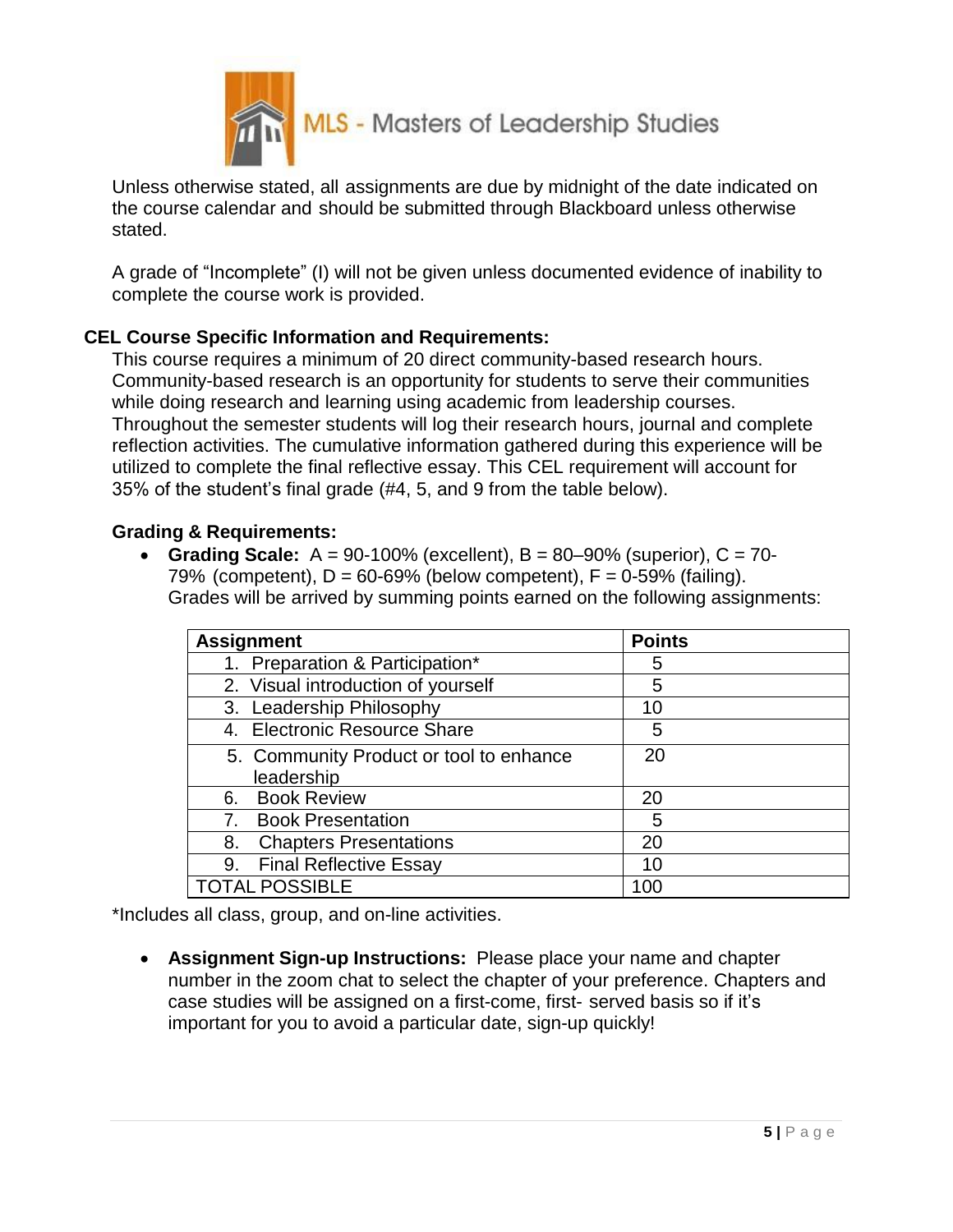

Unless otherwise stated, all assignments are due by midnight of the date indicated on the course calendar and should be submitted through Blackboard unless otherwise stated.

A grade of "Incomplete" (I) will not be given unless documented evidence of inability to complete the course work is provided.

## **CEL Course Specific Information and Requirements:**

This course requires a minimum of 20 direct community-based research hours. Community-based research is an opportunity for students to serve their communities while doing research and learning using academic from leadership courses. Throughout the semester students will log their research hours, journal and complete reflection activities. The cumulative information gathered during this experience will be utilized to complete the final reflective essay. This CEL requirement will account for 35% of the student's final grade (#4, 5, and 9 from the table below).

## **Grading & Requirements:**

 **Grading Scale:** A = 90-100% (excellent), B = 80–90% (superior), C = 70- 79% (competent),  $D = 60-69%$  (below competent),  $F = 0-59%$  (failing). Grades will be arrived by summing points earned on the following assignments:

| <b>Assignment</b>                       | <b>Points</b> |
|-----------------------------------------|---------------|
| 1. Preparation & Participation*         | 5             |
| 2. Visual introduction of yourself      | 5             |
| 3. Leadership Philosophy                | 10            |
| 4. Electronic Resource Share            | 5             |
| 5. Community Product or tool to enhance | 20            |
| leadership                              |               |
| 6. Book Review                          | 20            |
| <b>Book Presentation</b><br>7.          | 5             |
| <b>Chapters Presentations</b><br>8.     | 20            |
| <b>Final Reflective Essay</b><br>9.     | 10            |
| <b>TOTAL POSSIBLE</b>                   | 100           |

\*Includes all class, group, and on-line activities.

 **Assignment Sign-up Instructions:** Please place your name and chapter number in the zoom chat to select the chapter of your preference. Chapters and case studies will be assigned on a first-come, first- served basis so if it's important for you to avoid a particular date, sign-up quickly!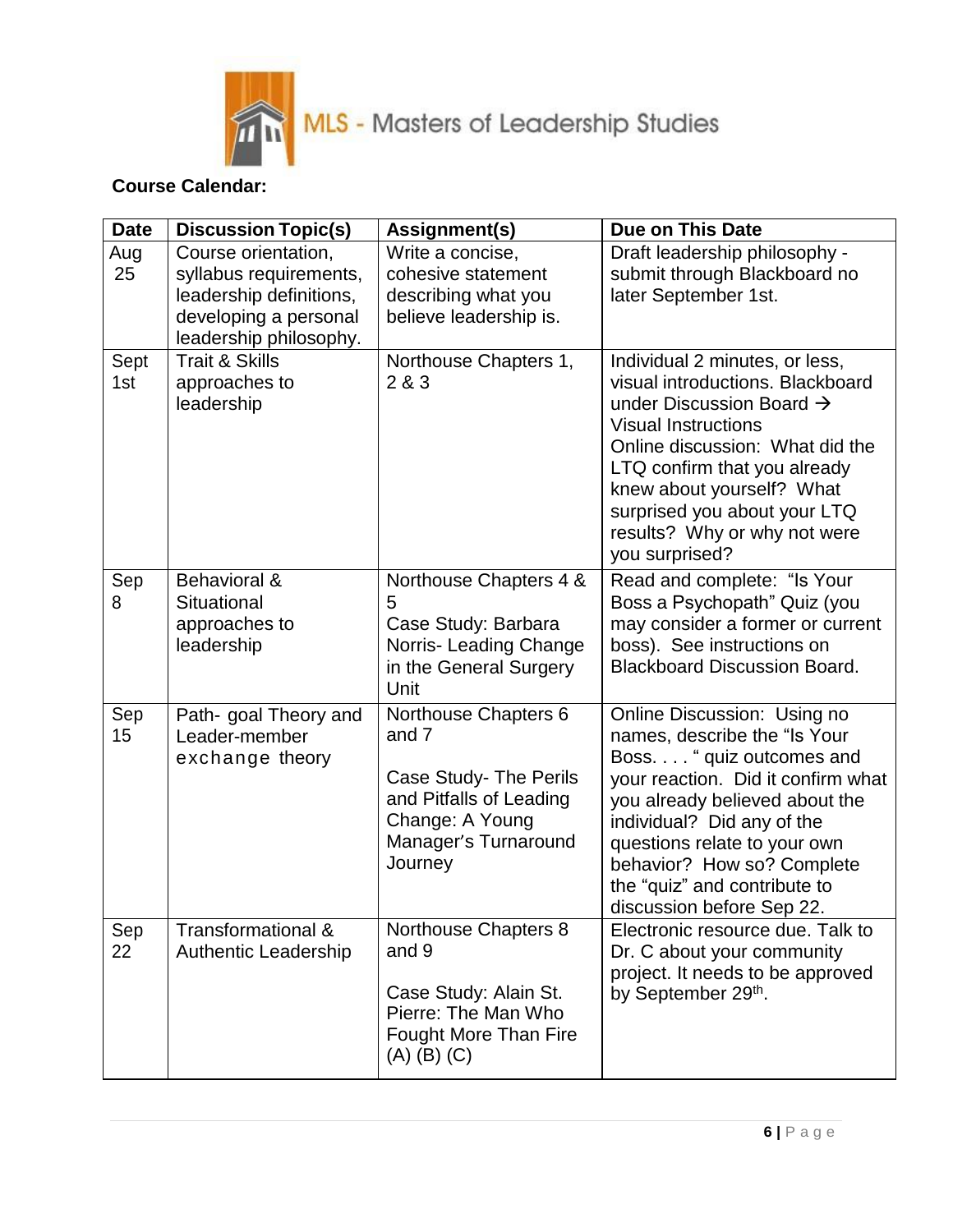

# **Course Calendar:**

| <b>Date</b> | <b>Discussion Topic(s)</b>                                                                                                  | Assignment(s)                                                                                                                            | Due on This Date                                                                                                                                                                                                                                                                                                           |
|-------------|-----------------------------------------------------------------------------------------------------------------------------|------------------------------------------------------------------------------------------------------------------------------------------|----------------------------------------------------------------------------------------------------------------------------------------------------------------------------------------------------------------------------------------------------------------------------------------------------------------------------|
| Aug<br>25   | Course orientation,<br>syllabus requirements,<br>leadership definitions,<br>developing a personal<br>leadership philosophy. | Write a concise,<br>cohesive statement<br>describing what you<br>believe leadership is.                                                  | Draft leadership philosophy -<br>submit through Blackboard no<br>later September 1st.                                                                                                                                                                                                                                      |
| Sept<br>1st | <b>Trait &amp; Skills</b><br>approaches to<br>leadership                                                                    | Northouse Chapters 1,<br>2 & 3                                                                                                           | Individual 2 minutes, or less,<br>visual introductions. Blackboard<br>under Discussion Board $\rightarrow$<br><b>Visual Instructions</b><br>Online discussion: What did the<br>LTQ confirm that you already<br>knew about yourself? What<br>surprised you about your LTQ<br>results? Why or why not were<br>you surprised? |
| Sep<br>8    | Behavioral &<br>Situational<br>approaches to<br>leadership                                                                  | Northouse Chapters 4 &<br>5<br>Case Study: Barbara<br>Norris- Leading Change<br>in the General Surgery<br>Unit                           | Read and complete: "Is Your<br>Boss a Psychopath" Quiz (you<br>may consider a former or current<br>boss). See instructions on<br><b>Blackboard Discussion Board.</b>                                                                                                                                                       |
| Sep<br>15   | Path- goal Theory and<br>Leader-member<br>exchange theory                                                                   | Northouse Chapters 6<br>and 7<br>Case Study- The Perils<br>and Pitfalls of Leading<br>Change: A Young<br>Manager's Turnaround<br>Journey | Online Discussion: Using no<br>names, describe the "Is Your<br>Boss. " quiz outcomes and<br>your reaction. Did it confirm what<br>you already believed about the<br>individual? Did any of the<br>questions relate to your own<br>behavior? How so? Complete<br>the "quiz" and contribute to<br>discussion before Sep 22.  |
| Sep<br>22   | Transformational &<br><b>Authentic Leadership</b>                                                                           | Northouse Chapters 8<br>and 9<br>Case Study: Alain St.<br>Pierre: The Man Who<br><b>Fought More Than Fire</b><br>$(A)$ $(B)$ $(C)$       | Electronic resource due. Talk to<br>Dr. C about your community<br>project. It needs to be approved<br>by September 29th.                                                                                                                                                                                                   |